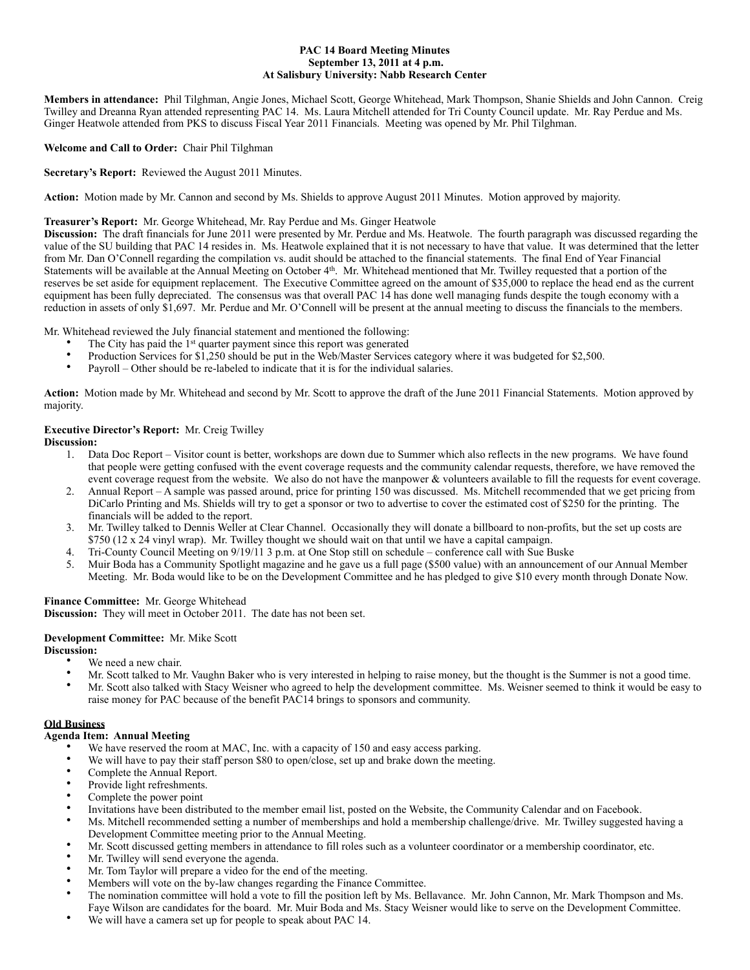#### **PAC 14 Board Meeting Minutes September 13, 2011 at 4 p.m. At Salisbury University: Nabb Research Center**

**Members in attendance:** Phil Tilghman, Angie Jones, Michael Scott, George Whitehead, Mark Thompson, Shanie Shields and John Cannon. Creig Twilley and Dreanna Ryan attended representing PAC 14. Ms. Laura Mitchell attended for Tri County Council update. Mr. Ray Perdue and Ms. Ginger Heatwole attended from PKS to discuss Fiscal Year 2011 Financials. Meeting was opened by Mr. Phil Tilghman.

## **Welcome and Call to Order:** Chair Phil Tilghman

**Secretary's Report:** Reviewed the August 2011 Minutes.

**Action:** Motion made by Mr. Cannon and second by Ms. Shields to approve August 2011 Minutes. Motion approved by majority.

## **Treasurer's Report:** Mr. George Whitehead, Mr. Ray Perdue and Ms. Ginger Heatwole

**Discussion:** The draft financials for June 2011 were presented by Mr. Perdue and Ms. Heatwole. The fourth paragraph was discussed regarding the value of the SU building that PAC 14 resides in. Ms. Heatwole explained that it is not necessary to have that value. It was determined that the letter from Mr. Dan O'Connell regarding the compilation vs. audit should be attached to the financial statements. The final End of Year Financial Statements will be available at the Annual Meeting on October 4<sup>th</sup>. Mr. Whitehead mentioned that Mr. Twilley requested that a portion of the reserves be set aside for equipment replacement. The Executive Committee agreed on the amount of \$35,000 to replace the head end as the current equipment has been fully depreciated. The consensus was that overall PAC 14 has done well managing funds despite the tough economy with a reduction in assets of only \$1,697. Mr. Perdue and Mr. O'Connell will be present at the annual meeting to discuss the financials to the members.

Mr. Whitehead reviewed the July financial statement and mentioned the following:

- The City has paid the 1<sup>st</sup> quarter payment since this report was generated
- Production Services for \$1,250 should be put in the Web/Master Services category where it was budgeted for \$2,500.
- Payroll Other should be re-labeled to indicate that it is for the individual salaries.

**Action:** Motion made by Mr. Whitehead and second by Mr. Scott to approve the draft of the June 2011 Financial Statements. Motion approved by majority.

## **Executive Director's Report:** Mr. Creig Twilley

**Discussion:**

- 1. Data Doc Report Visitor count is better, workshops are down due to Summer which also reflects in the new programs. We have found that people were getting confused with the event coverage requests and the community calendar requests, therefore, we have removed the event coverage request from the website. We also do not have the manpower & volunteers available to fill the requests for event coverage.
- 2. Annual Report A sample was passed around, price for printing 150 was discussed. Ms. Mitchell recommended that we get pricing from DiCarlo Printing and Ms. Shields will try to get a sponsor or two to advertise to cover the estimated cost of \$250 for the printing. The financials will be added to the report.
- 3. Mr. Twilley talked to Dennis Weller at Clear Channel. Occasionally they will donate a billboard to non-profits, but the set up costs are \$750 (12 x 24 vinyl wrap). Mr. Twilley thought we should wait on that until we have a capital campaign.
- 4. Tri-County Council Meeting on 9/19/11 3 p.m. at One Stop still on schedule conference call with Sue Buske
- 5. Muir Boda has a Community Spotlight magazine and he gave us a full page (\$500 value) with an announcement of our Annual Member Meeting. Mr. Boda would like to be on the Development Committee and he has pledged to give \$10 every month through Donate Now.

# **Finance Committee:** Mr. George Whitehead

**Discussion:** They will meet in October 2011. The date has not been set.

## **Development Committee:** Mr. Mike Scott

**Discussion:**

- We need a new chair.
- Mr. Scott talked to Mr. Vaughn Baker who is very interested in helping to raise money, but the thought is the Summer is not a good time.<br>• Mr. Scott also talked with Stage Weighname is aggregate help the development comm • Mr. Scott also talked with Stacy Weisner who agreed to help the development committee. Ms. Weisner seemed to think it would be easy to raise money for PAC because of the benefit PAC14 brings to sponsors and community.

#### **Old Business**

# **Agenda Item: Annual Meeting**

- We have reserved the room at MAC, Inc. with a capacity of 150 and easy access parking.
- We will have to pay their staff person \$80 to open/close, set up and brake down the meeting.
- Complete the Annual Report.
- Provide light refreshments.
- Complete the power point
- Invitations have been distributed to the member email list, posted on the Website, the Community Calendar and on Facebook.
- Ms. Mitchell recommended setting a number of memberships and hold a membership challenge/drive. Mr. Twilley suggested having a Development Committee meeting prior to the Annual Meeting.
- Mr. Scott discussed getting members in attendance to fill roles such as a volunteer coordinator or a membership coordinator, etc.
- Mr. Twilley will send everyone the agenda.
- Mr. Tom Taylor will prepare a video for the end of the meeting.
- Members will vote on the by-law changes regarding the Finance Committee.
- The nomination committee will hold a vote to fill the position left by Ms. Bellavance. Mr. John Cannon, Mr. Mark Thompson and Ms. Faye Wilson are candidates for the board. Mr. Muir Boda and Ms. Stacy Weisner would like to serve on the Development Committee.
- We will have a camera set up for people to speak about PAC 14.